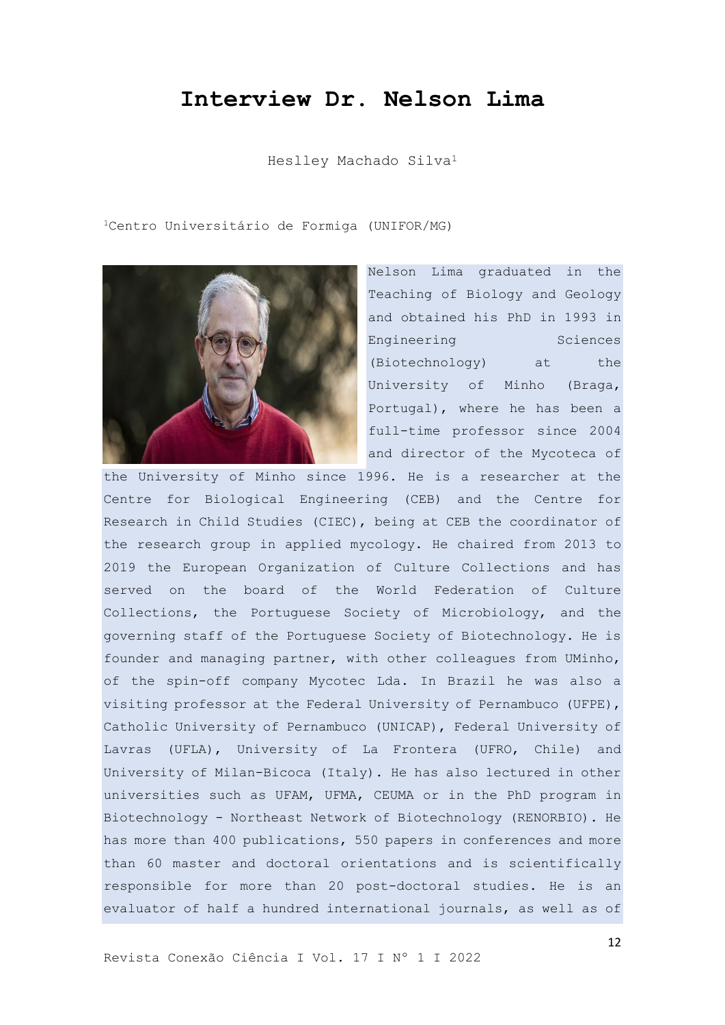## **Interview Dr. Nelson Lima**

Heslley Machado Silva<sup>1</sup>

<sup>1</sup>Centro Universitário de Formiga (UNIFOR/MG)



Nelson Lima graduated in the Teaching of Biology and Geology and obtained his PhD in 1993 in Engineering Sciences (Biotechnology) at the University of Minho (Braga, Portugal), where he has been a full-time professor since 2004 and director of the Mycoteca of

the University of Minho since 1996. He is a researcher at the Centre for Biological Engineering (CEB) and the Centre for Research in Child Studies (CIEC), being at CEB the coordinator of the research group in applied mycology. He chaired from 2013 to 2019 the European Organization of Culture Collections and has served on the board of the World Federation of Culture Collections, the Portuguese Society of Microbiology, and the governing staff of the Portuguese Society of Biotechnology. He is founder and managing partner, with other colleagues from UMinho, of the spin-off company Mycotec Lda. In Brazil he was also a visiting professor at the Federal University of Pernambuco (UFPE), Catholic University of Pernambuco (UNICAP), Federal University of Lavras (UFLA), University of La Frontera (UFRO, Chile) and University of Milan-Bicoca (Italy). He has also lectured in other universities such as UFAM, UFMA, CEUMA or in the PhD program in Biotechnology - Northeast Network of Biotechnology (RENORBIO). He has more than 400 publications, 550 papers in conferences and more than 60 master and doctoral orientations and is scientifically responsible for more than 20 post-doctoral studies. He is an evaluator of half a hundred international journals, as well as of

Revista Conexão Ciência I Vol. 17 I Nº 1 I 2022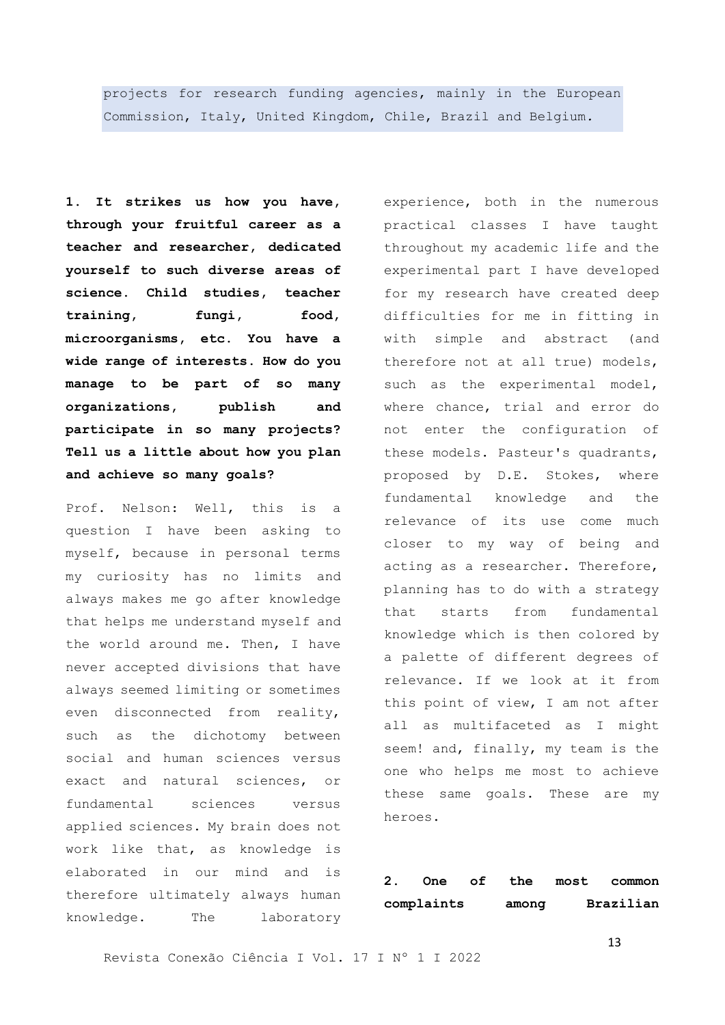projects for research funding agencies, mainly in the European Commission, Italy, United Kingdom, Chile, Brazil and Belgium*.*

**1. It strikes us how you have, through your fruitful career as a teacher and researcher, dedicated yourself to such diverse areas of science. Child studies, teacher training, fungi, food, microorganisms, etc. You have a wide range of interests. How do you manage to be part of so many organizations, publish and participate in so many projects? Tell us a little about how you plan and achieve so many goals?**

Prof. Nelson: Well, this is a question I have been asking to myself, because in personal terms my curiosity has no limits and always makes me go after knowledge that helps me understand myself and the world around me. Then, I have never accepted divisions that have always seemed limiting or sometimes even disconnected from reality, such as the dichotomy between social and human sciences versus exact and natural sciences, or fundamental sciences versus applied sciences. My brain does not work like that, as knowledge is elaborated in our mind and is therefore ultimately always human knowledge. The laboratory

experience, both in the numerous practical classes I have taught throughout my academic life and the experimental part I have developed for my research have created deep difficulties for me in fitting in with simple and abstract (and therefore not at all true) models, such as the experimental model, where chance, trial and error do not enter the configuration of these models. Pasteur's quadrants, proposed by D.E. Stokes, where fundamental knowledge and the relevance of its use come much closer to my way of being and acting as a researcher. Therefore, planning has to do with a strategy that starts from fundamental knowledge which is then colored by a palette of different degrees of relevance. If we look at it from this point of view, I am not after all as multifaceted as I might seem! and, finally, my team is the one who helps me most to achieve these same goals. These are my heroes.

**2. One of the most common complaints among Brazilian** 

Revista Conexão Ciência I Vol. 17 I Nº 1 I 2022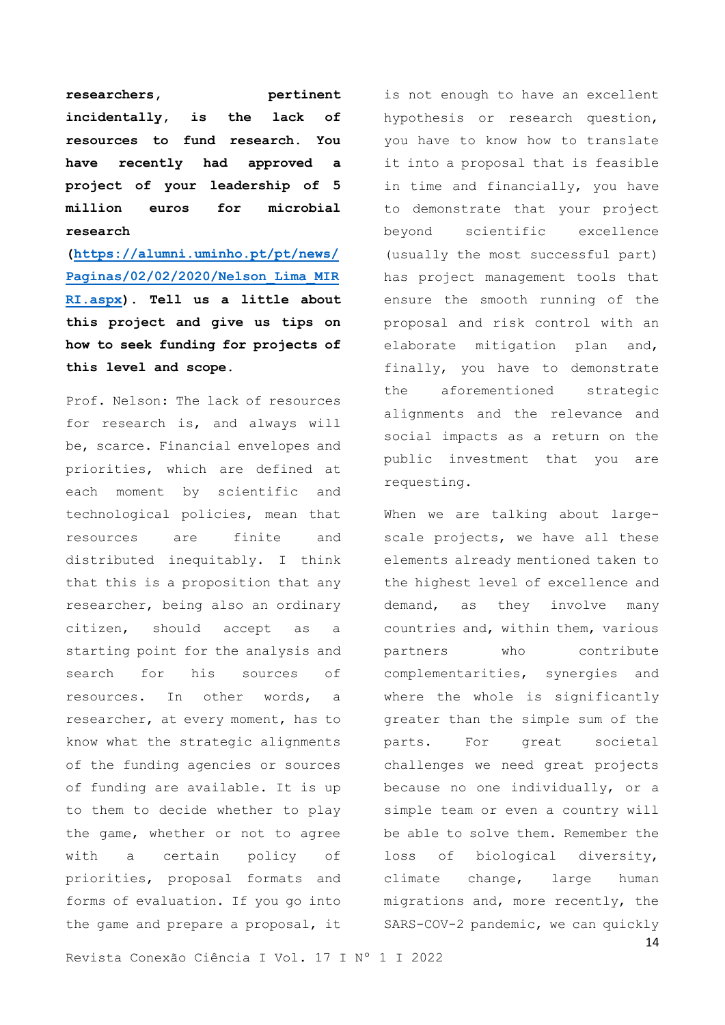researchers, pertinent **incidentally, is the lack of resources to fund research. You have recently had approved a project of your leadership of 5 million euros for microbial research** 

**[\(https://alumni.uminho.pt/pt/news/](https://alumni.uminho.pt/pt/news/Paginas/02/02/2020/Nelson_Lima_MIRRI.aspx) [Paginas/02/02/2020/Nelson\\_Lima\\_MIR](https://alumni.uminho.pt/pt/news/Paginas/02/02/2020/Nelson_Lima_MIRRI.aspx) [RI.aspx\)](https://alumni.uminho.pt/pt/news/Paginas/02/02/2020/Nelson_Lima_MIRRI.aspx). Tell us a little about this project and give us tips on how to seek funding for projects of this level and scope.**

Prof. Nelson: The lack of resources for research is, and always will be, scarce. Financial envelopes and priorities, which are defined at each moment by scientific and technological policies, mean that resources are finite and distributed inequitably. I think that this is a proposition that any researcher, being also an ordinary citizen, should accept as a starting point for the analysis and search for his sources of resources. In other words, a researcher, at every moment, has to know what the strategic alignments of the funding agencies or sources of funding are available. It is up to them to decide whether to play the game, whether or not to agree with a certain policy of priorities, proposal formats and forms of evaluation. If you go into the game and prepare a proposal, it

is not enough to have an excellent hypothesis or research question, you have to know how to translate it into a proposal that is feasible in time and financially, you have to demonstrate that your project beyond scientific excellence (usually the most successful part) has project management tools that ensure the smooth running of the proposal and risk control with an elaborate mitigation plan and, finally, you have to demonstrate the aforementioned strategic alignments and the relevance and social impacts as a return on the public investment that you are requesting.

When we are talking about largescale projects, we have all these elements already mentioned taken to the highest level of excellence and demand, as they involve many countries and, within them, various partners who contribute complementarities, synergies and where the whole is significantly greater than the simple sum of the parts. For great societal challenges we need great projects because no one individually, or a simple team or even a country will be able to solve them. Remember the loss of biological diversity, climate change, large human migrations and, more recently, the SARS-COV-2 pandemic, we can quickly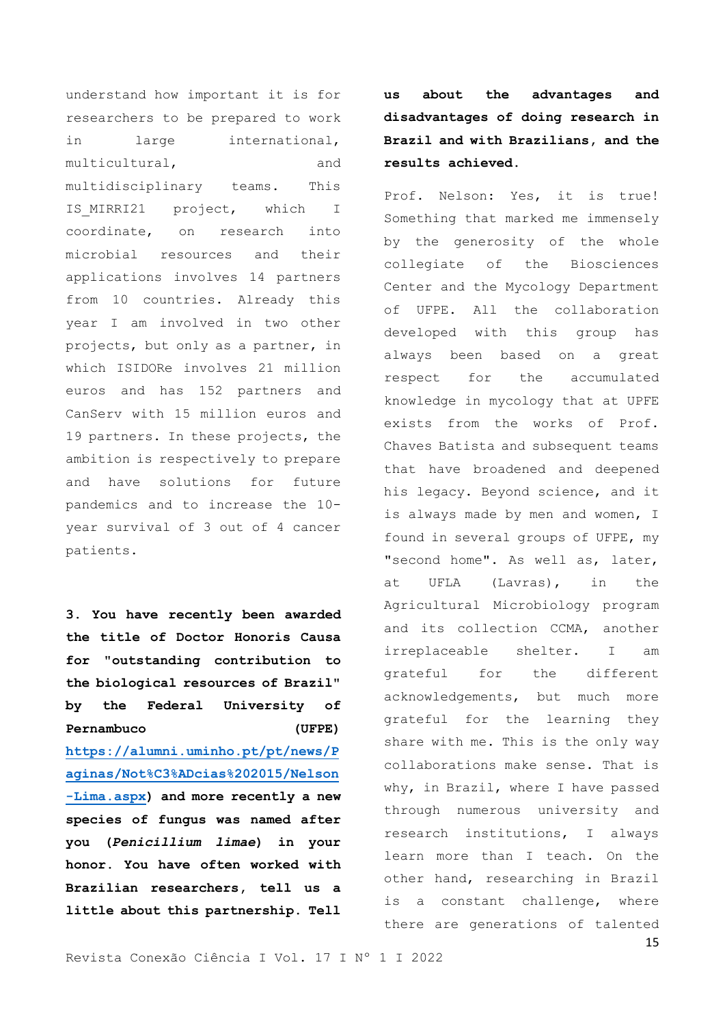understand how important it is for researchers to be prepared to work in large international, multicultural, and multidisciplinary teams. This IS MIRRI21 project, which I coordinate, on research into microbial resources and their applications involves 14 partners from 10 countries. Already this year I am involved in two other projects, but only as a partner, in which ISIDORe involves 21 million euros and has 152 partners and CanServ with 15 million euros and 19 partners. In these projects, the ambition is respectively to prepare and have solutions for future pandemics and to increase the 10 year survival of 3 out of 4 cancer patients.

**3. You have recently been awarded the title of Doctor Honoris Causa for "outstanding contribution to the biological resources of Brazil" by the Federal University of Pernambuco (UFPE) [https://alumni.uminho.pt/pt/news/P](https://alumni.uminho.pt/pt/news/Paginas/Not%C3%ADcias%202015/Nelson-Lima.aspx) [aginas/Not%C3%ADcias%202015/Nelson](https://alumni.uminho.pt/pt/news/Paginas/Not%C3%ADcias%202015/Nelson-Lima.aspx) [-Lima.aspx\)](https://alumni.uminho.pt/pt/news/Paginas/Not%C3%ADcias%202015/Nelson-Lima.aspx) and more recently a new species of fungus was named after you (***Penicillium limae***) in your honor. You have often worked with Brazilian researchers, tell us a little about this partnership. Tell** 

**us about the advantages and disadvantages of doing research in Brazil and with Brazilians, and the results achieved.**

Prof. Nelson: Yes, it is true! Something that marked me immensely by the generosity of the whole collegiate of the Biosciences Center and the Mycology Department of UFPE. All the collaboration developed with this group has always been based on a great respect for the accumulated knowledge in mycology that at UPFE exists from the works of Prof. Chaves Batista and subsequent teams that have broadened and deepened his legacy. Beyond science, and it is always made by men and women, I found in several groups of UFPE, my "second home". As well as, later, at UFLA (Lavras), in the Agricultural Microbiology program and its collection CCMA, another irreplaceable shelter. I am grateful for the different acknowledgements, but much more grateful for the learning they share with me. This is the only way collaborations make sense. That is why, in Brazil, where I have passed through numerous university and research institutions, I always learn more than I teach. On the other hand, researching in Brazil is a constant challenge, where there are generations of talented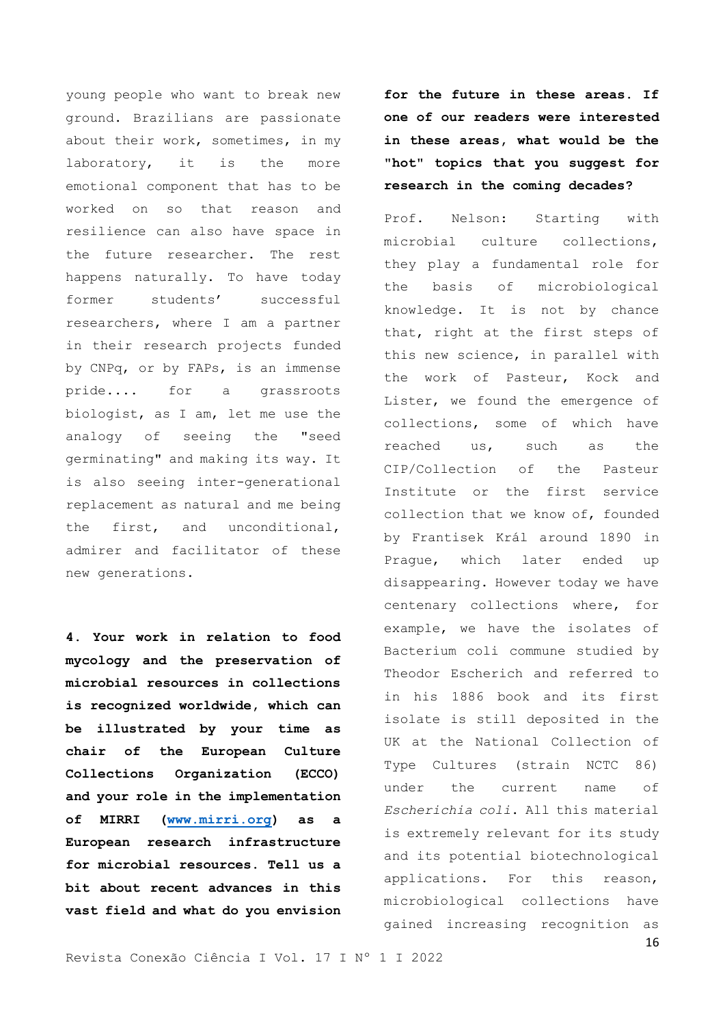young people who want to break new ground. Brazilians are passionate about their work, sometimes, in my laboratory, it is the more emotional component that has to be worked on so that reason and resilience can also have space in the future researcher. The rest happens naturally. To have today former students' successful researchers, where I am a partner in their research projects funded by CNPq, or by FAPs, is an immense pride.... for a grassroots biologist, as I am, let me use the analogy of seeing the "seed germinating" and making its way. It is also seeing inter-generational replacement as natural and me being the first, and unconditional, admirer and facilitator of these new generations.

**4. Your work in relation to food mycology and the preservation of microbial resources in collections is recognized worldwide, which can be illustrated by your time as chair of the European Culture Collections Organization (ECCO) and your role in the implementation of MIRRI [\(www.mirri.org\)](http://www.mirri.org/) as a European research infrastructure for microbial resources. Tell us a bit about recent advances in this vast field and what do you envision**  **for the future in these areas. If one of our readers were interested in these areas, what would be the "hot" topics that you suggest for research in the coming decades?**

Prof. Nelson: Starting with microbial culture collections, they play a fundamental role for the basis of microbiological knowledge. It is not by chance that, right at the first steps of this new science, in parallel with the work of Pasteur, Kock and Lister, we found the emergence of collections, some of which have reached us, such as the CIP/Collection of the Pasteur Institute or the first service collection that we know of, founded by Frantisek Král around 1890 in Prague, which later ended up disappearing. However today we have centenary collections where, for example, we have the isolates of Bacterium coli commune studied by Theodor Escherich and referred to in his 1886 book and its first isolate is still deposited in the UK at the National Collection of Type Cultures (strain NCTC 86) under the current name of *Escherichia coli*. All this material is extremely relevant for its study and its potential biotechnological applications. For this reason, microbiological collections have gained increasing recognition as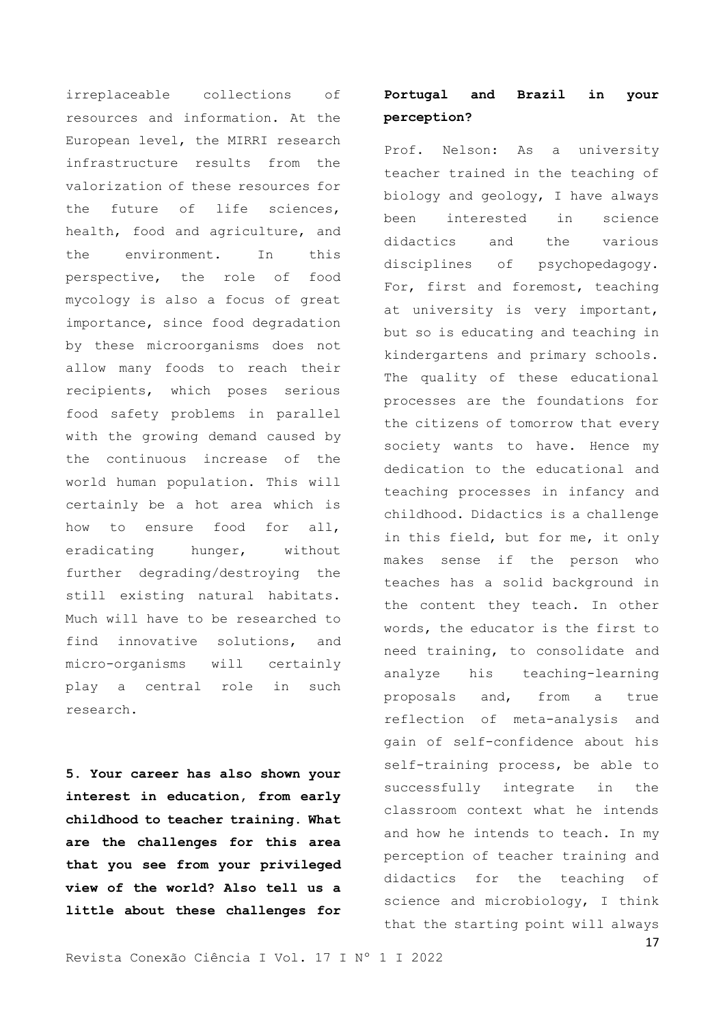irreplaceable collections of resources and information. At the European level, the MIRRI research infrastructure results from the valorization of these resources for the future of life sciences, health, food and agriculture, and the environment. In this perspective, the role of food mycology is also a focus of great importance, since food degradation by these microorganisms does not allow many foods to reach their recipients, which poses serious food safety problems in parallel with the growing demand caused by the continuous increase of the world human population. This will certainly be a hot area which is how to ensure food for all, eradicating hunger, without further degrading/destroying the still existing natural habitats. Much will have to be researched to find innovative solutions, and micro-organisms will certainly play a central role in such research.

**5. Your career has also shown your interest in education, from early childhood to teacher training. What are the challenges for this area that you see from your privileged view of the world? Also tell us a little about these challenges for** 

## **Portugal and Brazil in your perception?**

Prof. Nelson: As a university teacher trained in the teaching of biology and geology, I have always been interested in science didactics and the various disciplines of psychopedagogy. For, first and foremost, teaching at university is very important, but so is educating and teaching in kindergartens and primary schools. The quality of these educational processes are the foundations for the citizens of tomorrow that every society wants to have. Hence my dedication to the educational and teaching processes in infancy and childhood. Didactics is a challenge in this field, but for me, it only makes sense if the person who teaches has a solid background in the content they teach. In other words, the educator is the first to need training, to consolidate and analyze his teaching-learning proposals and, from a true reflection of meta-analysis and gain of self-confidence about his self-training process, be able to successfully integrate in the classroom context what he intends and how he intends to teach. In my perception of teacher training and didactics for the teaching of science and microbiology, I think that the starting point will always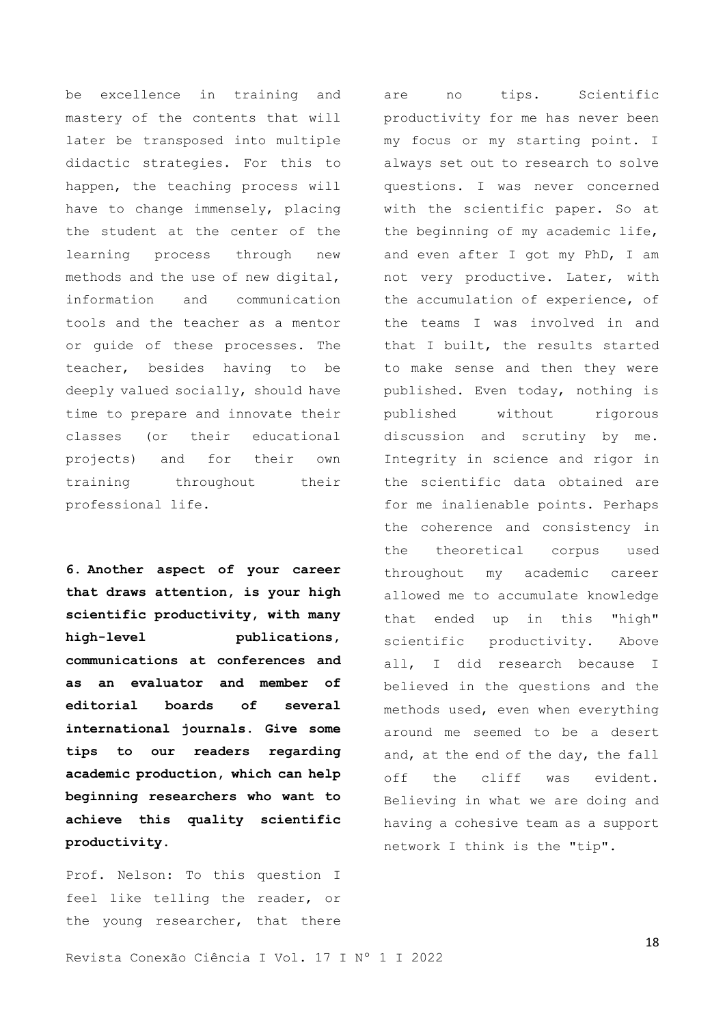be excellence in training and mastery of the contents that will later be transposed into multiple didactic strategies. For this to happen, the teaching process will have to change immensely, placing the student at the center of the learning process through new methods and the use of new digital, information and communication tools and the teacher as a mentor or guide of these processes. The teacher, besides having to be deeply valued socially, should have time to prepare and innovate their classes (or their educational projects) and for their own training throughout their professional life.

**6. Another aspect of your career that draws attention, is your high scientific productivity, with many high-level publications, communications at conferences and as an evaluator and member of editorial boards of several international journals. Give some tips to our readers regarding academic production, which can help beginning researchers who want to achieve this quality scientific productivity.**

Prof. Nelson: To this question I feel like telling the reader, or the young researcher, that there

are no tips. Scientific productivity for me has never been my focus or my starting point. I always set out to research to solve questions. I was never concerned with the scientific paper. So at the beginning of my academic life, and even after I got my PhD, I am not very productive. Later, with the accumulation of experience, of the teams I was involved in and that I built, the results started to make sense and then they were published. Even today, nothing is published without rigorous discussion and scrutiny by me. Integrity in science and rigor in the scientific data obtained are for me inalienable points. Perhaps the coherence and consistency in the theoretical corpus used throughout my academic career allowed me to accumulate knowledge that ended up in this "high" scientific productivity. Above all, I did research because I believed in the questions and the methods used, even when everything around me seemed to be a desert and, at the end of the day, the fall off the cliff was evident. Believing in what we are doing and having a cohesive team as a support network I think is the "tip".

Revista Conexão Ciência I Vol. 17 I Nº 1 I 2022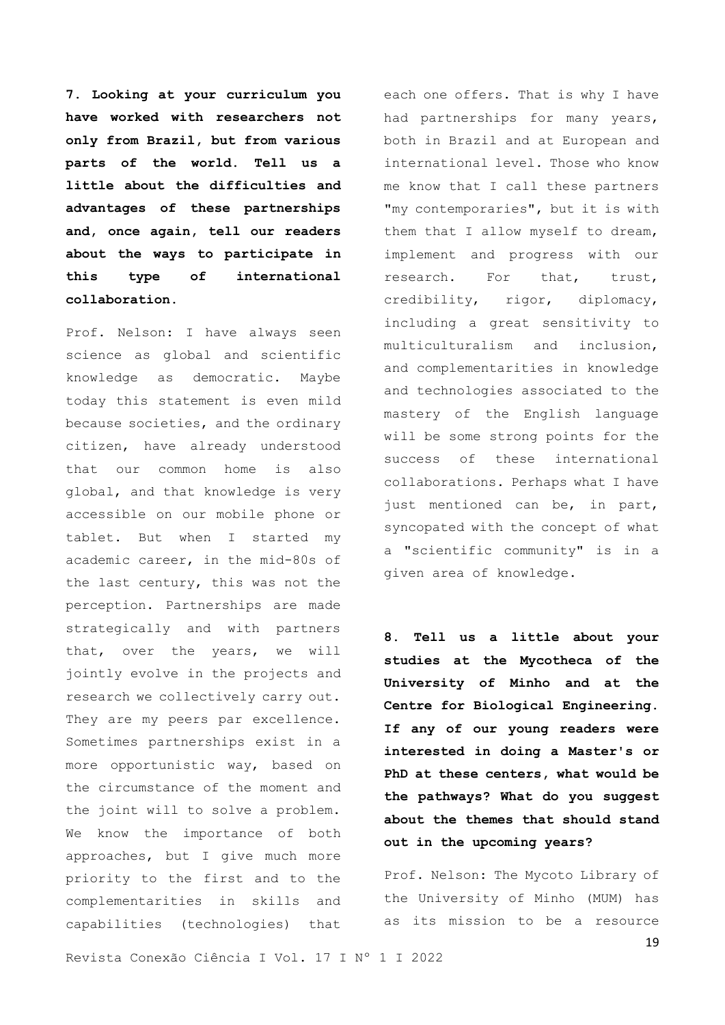**7. Looking at your curriculum you have worked with researchers not only from Brazil, but from various parts of the world. Tell us a little about the difficulties and advantages of these partnerships and, once again, tell our readers about the ways to participate in this type of international collaboration.**

Prof. Nelson: I have always seen science as global and scientific knowledge as democratic. Maybe today this statement is even mild because societies, and the ordinary citizen, have already understood that our common home is also global, and that knowledge is very accessible on our mobile phone or tablet. But when I started my academic career, in the mid-80s of the last century, this was not the perception. Partnerships are made strategically and with partners that, over the years, we will jointly evolve in the projects and research we collectively carry out. They are my peers par excellence. Sometimes partnerships exist in a more opportunistic way, based on the circumstance of the moment and the joint will to solve a problem. We know the importance of both approaches, but I give much more priority to the first and to the complementarities in skills and capabilities (technologies) that

each one offers. That is why I have had partnerships for many years, both in Brazil and at European and international level. Those who know me know that I call these partners "my contemporaries", but it is with them that I allow myself to dream, implement and progress with our research. For that, trust, credibility, rigor, diplomacy, including a great sensitivity to multiculturalism and inclusion, and complementarities in knowledge and technologies associated to the mastery of the English language will be some strong points for the success of these international collaborations. Perhaps what I have just mentioned can be, in part, syncopated with the concept of what a "scientific community" is in a given area of knowledge.

**8. Tell us a little about your studies at the Mycotheca of the University of Minho and at the Centre for Biological Engineering. If any of our young readers were interested in doing a Master's or PhD at these centers, what would be the pathways? What do you suggest about the themes that should stand out in the upcoming years?**

Prof. Nelson: The Mycoto Library of the University of Minho (MUM) has as its mission to be a resource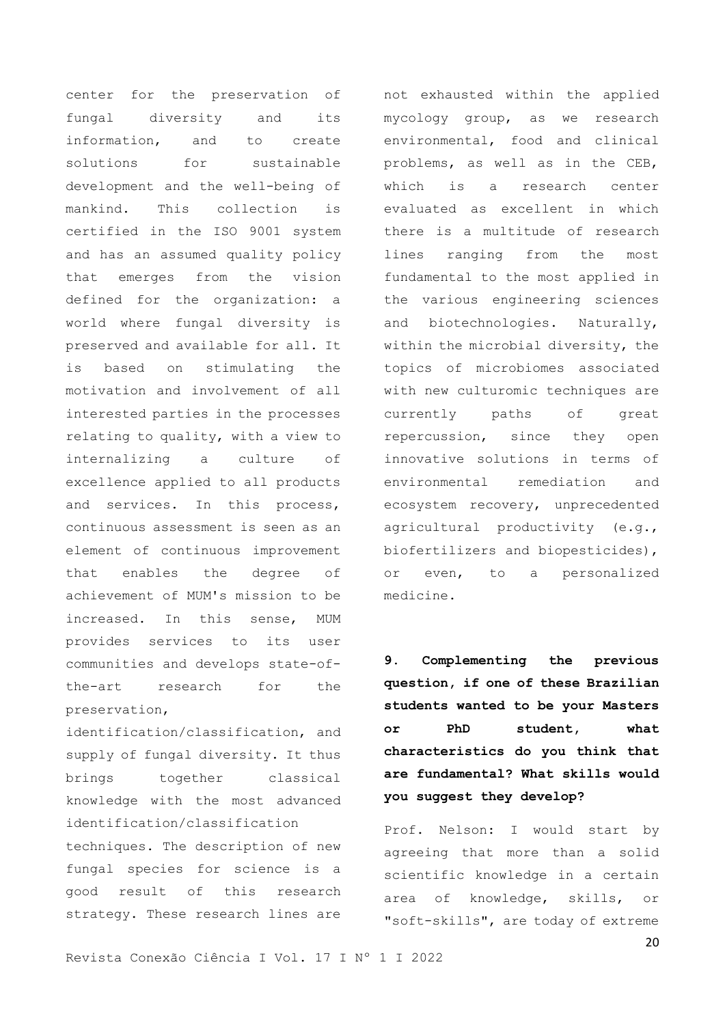center for the preservation of fungal diversity and its information, and to create solutions for sustainable development and the well-being of mankind. This collection is certified in the ISO 9001 system and has an assumed quality policy that emerges from the vision defined for the organization: a world where fungal diversity is preserved and available for all. It is based on stimulating the motivation and involvement of all interested parties in the processes relating to quality, with a view to internalizing a culture of excellence applied to all products and services. In this process, continuous assessment is seen as an element of continuous improvement that enables the degree of achievement of MUM's mission to be increased. In this sense, MUM provides services to its user communities and develops state-ofthe-art research for the preservation,

identification/classification, and supply of fungal diversity. It thus brings together classical knowledge with the most advanced identification/classification techniques. The description of new fungal species for science is a good result of this research strategy. These research lines are

mycology group, as we research environmental, food and clinical problems, as well as in the CEB, which is a research center evaluated as excellent in which there is a multitude of research lines ranging from the most fundamental to the most applied in the various engineering sciences and biotechnologies. Naturally, within the microbial diversity, the topics of microbiomes associated with new culturomic techniques are currently paths of great repercussion, since they open innovative solutions in terms of environmental remediation and ecosystem recovery, unprecedented agricultural productivity (e.g., biofertilizers and biopesticides), or even, to a personalized

not exhausted within the applied

**9. Complementing the previous question, if one of these Brazilian students wanted to be your Masters or PhD student, what characteristics do you think that are fundamental? What skills would you suggest they develop?**

medicine.

Prof. Nelson: I would start by agreeing that more than a solid scientific knowledge in a certain area of knowledge, skills, or "soft-skills", are today of extreme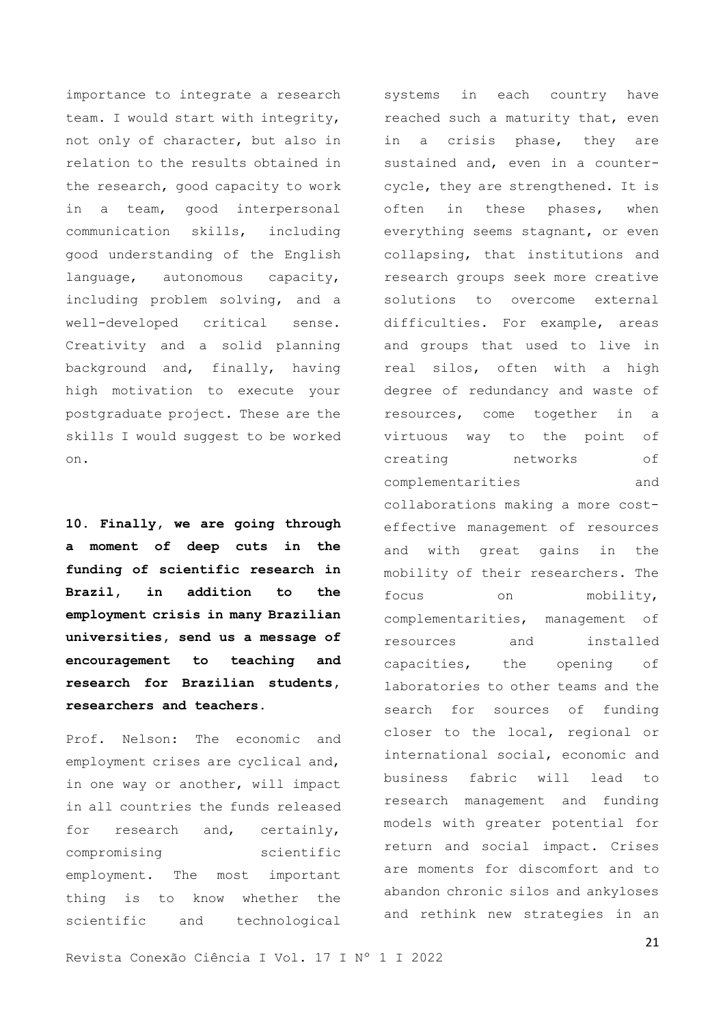importance to integrate a research team. I would start with integrity, not only of character, but also in relation to the results obtained in the research, good capacity to work in a team, good interpersonal communication skills, including good understanding of the English language, autonomous capacity, including problem solving, and a well-developed critical sense. Creativity and a solid planning background and, finally, having high motivation to execute your postgraduate project. These are the skills I would suggest to be worked on.

**10. Finally, we are going through a moment of deep cuts in the funding of scientific research in Brazil, in addition to the employment crisis in many Brazilian universities, send us a message of encouragement to teaching and research for Brazilian students, researchers and teachers.**

Prof. Nelson: The economic and employment crises are cyclical and, in one way or another, will impact in all countries the funds released for research and, certainly, compromising scientific employment. The most important thing is to know whether the scientific and technological

systems in each country have reached such a maturity that, even in a crisis phase, they are sustained and, even in a countercycle, they are strengthened. It is often in these phases, when everything seems stagnant, or even collapsing, that institutions and research groups seek more creative solutions to overcome external difficulties. For example, areas and groups that used to live in real silos, often with a high degree of redundancy and waste of resources, come together in a virtuous way to the point of creating networks of complementarities and collaborations making a more costeffective management of resources and with great gains in the mobility of their researchers. The focus on mobility, complementarities, management of resources and installed capacities, the opening of laboratories to other teams and the search for sources of funding closer to the local, regional or international social, economic and business fabric will lead to research management and funding models with greater potential for return and social impact. Crises are moments for discomfort and to abandon chronic silos and ankyloses and rethink new strategies in an